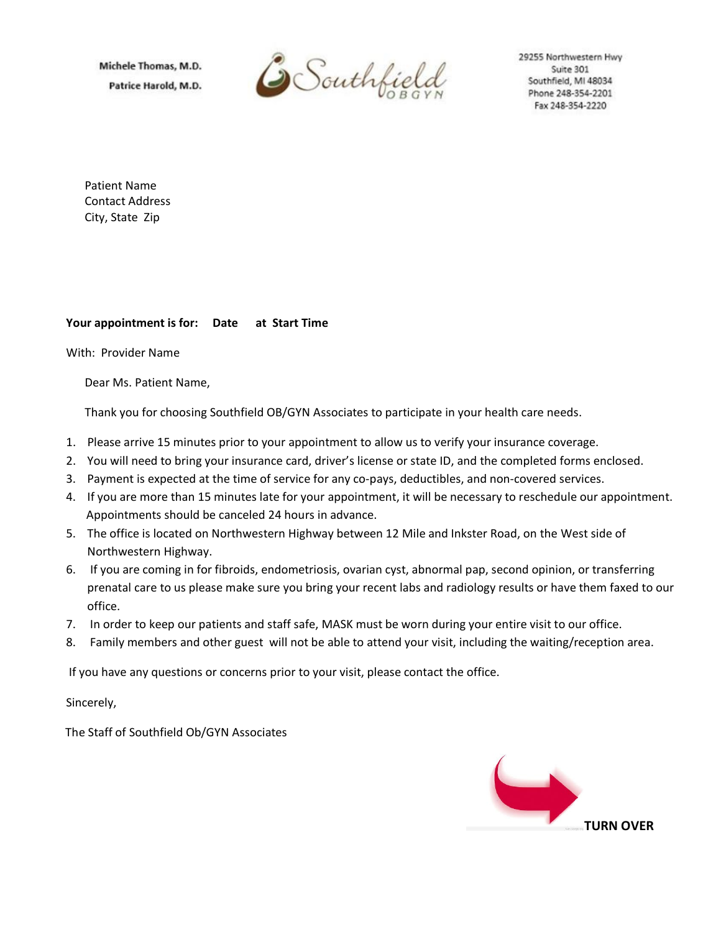Michele Thomas, M.D. Patrice Harold, M.D.



29255 Northwestern Hwy Suite 301 Southfield, MI 48034 Phone 248-354-2201 Fax 248-354-2220

Patient Name Contact Address City, State Zip

## **Your appointment is for: Date at Start Time**

With: Provider Name

Dear Ms. Patient Name,

Thank you for choosing Southfield OB/GYN Associates to participate in your health care needs.

- 1. Please arrive 15 minutes prior to your appointment to allow us to verify your insurance coverage.
- 2. You will need to bring your insurance card, driver's license or state ID, and the completed forms enclosed.
- 3. Payment is expected at the time of service for any co-pays, deductibles, and non-covered services.
- 4. If you are more than 15 minutes late for your appointment, it will be necessary to reschedule our appointment. Appointments should be canceled 24 hours in advance.
- 5. The office is located on Northwestern Highway between 12 Mile and Inkster Road, on the West side of Northwestern Highway.
- 6. If you are coming in for fibroids, endometriosis, ovarian cyst, abnormal pap, second opinion, or transferring prenatal care to us please make sure you bring your recent labs and radiology results or have them faxed to our office.
- 7. In order to keep our patients and staff safe, MASK must be worn during your entire visit to our office.
- 8. Family members and other guest will not be able to attend your visit, including the waiting/reception area.

If you have any questions or concerns prior to your visit, please contact the office.

Sincerely,

The Staff of Southfield Ob/GYN Associates

**TURN OVER**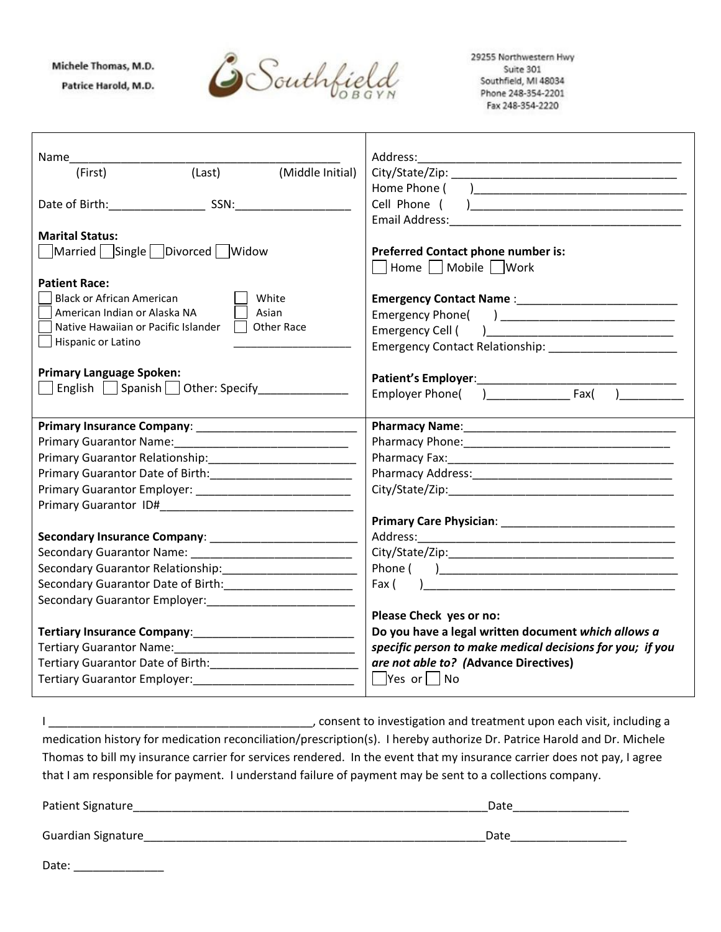## Michele Thomas, M.D.

Patrice Harold, M.D.



29255 Northwestern Hwy Suite 301 Southfield, MI 48034 Phone 248-354-2201 Fax 248-354-2220

| Name                                                                                                                    | Address:                                                                                                                                                                                                                                                                                                                                                                                              |
|-------------------------------------------------------------------------------------------------------------------------|-------------------------------------------------------------------------------------------------------------------------------------------------------------------------------------------------------------------------------------------------------------------------------------------------------------------------------------------------------------------------------------------------------|
| (Middle Initial)<br>(Last)<br>(First)                                                                                   |                                                                                                                                                                                                                                                                                                                                                                                                       |
|                                                                                                                         | Home Phone (                                                                                                                                                                                                                                                                                                                                                                                          |
|                                                                                                                         | Cell Phone (                                                                                                                                                                                                                                                                                                                                                                                          |
|                                                                                                                         | Email Address:                                                                                                                                                                                                                                                                                                                                                                                        |
| <b>Marital Status:</b>                                                                                                  |                                                                                                                                                                                                                                                                                                                                                                                                       |
| Married   Single   Divorced Widow                                                                                       | Preferred Contact phone number is:                                                                                                                                                                                                                                                                                                                                                                    |
|                                                                                                                         | Home     Mobile     Work                                                                                                                                                                                                                                                                                                                                                                              |
| <b>Patient Race:</b>                                                                                                    |                                                                                                                                                                                                                                                                                                                                                                                                       |
| <b>Black or African American</b><br>White                                                                               |                                                                                                                                                                                                                                                                                                                                                                                                       |
| American Indian or Alaska NA<br>Asian                                                                                   |                                                                                                                                                                                                                                                                                                                                                                                                       |
| Native Hawaiian or Pacific Islander<br>Other Race                                                                       | Emergency Cell (<br>$\begin{picture}(150,10) \put(0,0){\dashbox{0.5}(10,0){ }} \put(150,0){\circle{10}} \put(150,0){\circle{10}} \put(150,0){\circle{10}} \put(150,0){\circle{10}} \put(150,0){\circle{10}} \put(150,0){\circle{10}} \put(150,0){\circle{10}} \put(150,0){\circle{10}} \put(150,0){\circle{10}} \put(150,0){\circle{10}} \put(150,0){\circle{10}} \put(150,0){\circle{10}} \put(150,$ |
| Hispanic or Latino                                                                                                      |                                                                                                                                                                                                                                                                                                                                                                                                       |
|                                                                                                                         |                                                                                                                                                                                                                                                                                                                                                                                                       |
| <b>Primary Language Spoken:</b>                                                                                         |                                                                                                                                                                                                                                                                                                                                                                                                       |
| English Spanish Other: Specify                                                                                          |                                                                                                                                                                                                                                                                                                                                                                                                       |
|                                                                                                                         |                                                                                                                                                                                                                                                                                                                                                                                                       |
| Primary Insurance Company: 2008. [19] Primary Insurance Company:                                                        |                                                                                                                                                                                                                                                                                                                                                                                                       |
| Primary Guarantor Name:                                                                                                 |                                                                                                                                                                                                                                                                                                                                                                                                       |
|                                                                                                                         |                                                                                                                                                                                                                                                                                                                                                                                                       |
| Primary Guarantor Date of Birth: 2008. [2010] Primary Guarantor Date of Birth:                                          |                                                                                                                                                                                                                                                                                                                                                                                                       |
|                                                                                                                         |                                                                                                                                                                                                                                                                                                                                                                                                       |
|                                                                                                                         |                                                                                                                                                                                                                                                                                                                                                                                                       |
|                                                                                                                         |                                                                                                                                                                                                                                                                                                                                                                                                       |
|                                                                                                                         |                                                                                                                                                                                                                                                                                                                                                                                                       |
|                                                                                                                         |                                                                                                                                                                                                                                                                                                                                                                                                       |
|                                                                                                                         |                                                                                                                                                                                                                                                                                                                                                                                                       |
| Secondary Guarantor Date of Birth: ______________________                                                               | Fax (                                                                                                                                                                                                                                                                                                                                                                                                 |
| Secondary Guarantor Employer:<br>1980 - Productor American Barrow (1980)                                                |                                                                                                                                                                                                                                                                                                                                                                                                       |
|                                                                                                                         | Please Check yes or no:                                                                                                                                                                                                                                                                                                                                                                               |
|                                                                                                                         | Do you have a legal written document which allows a                                                                                                                                                                                                                                                                                                                                                   |
|                                                                                                                         | specific person to make medical decisions for you; if you                                                                                                                                                                                                                                                                                                                                             |
|                                                                                                                         | are not able to? (Advance Directives)                                                                                                                                                                                                                                                                                                                                                                 |
|                                                                                                                         | $\overline{\phantom{a}}$ Yes or $\lfloor \underline{\phantom{a}}$ No                                                                                                                                                                                                                                                                                                                                  |
|                                                                                                                         |                                                                                                                                                                                                                                                                                                                                                                                                       |
|                                                                                                                         |                                                                                                                                                                                                                                                                                                                                                                                                       |
|                                                                                                                         | consent to investigation and treatment upon each visit, including a consent to investigation and treatment upon each visit, including a                                                                                                                                                                                                                                                               |
| medication history for medication reconciliation/prescription(s). I hereby authorize Dr. Patrice Harold and Dr. Michele |                                                                                                                                                                                                                                                                                                                                                                                                       |
| Thomas to bill my insurance carrier for services rendered. In the event that my insurance carrier does not pay, I agree |                                                                                                                                                                                                                                                                                                                                                                                                       |

that I am responsible for payment. I understand failure of payment may be sent to a collections company.

| Patient Signature  | Date |  |  |
|--------------------|------|--|--|
| Guardian Signature | Date |  |  |

| Date: |  |  |
|-------|--|--|
|       |  |  |
|       |  |  |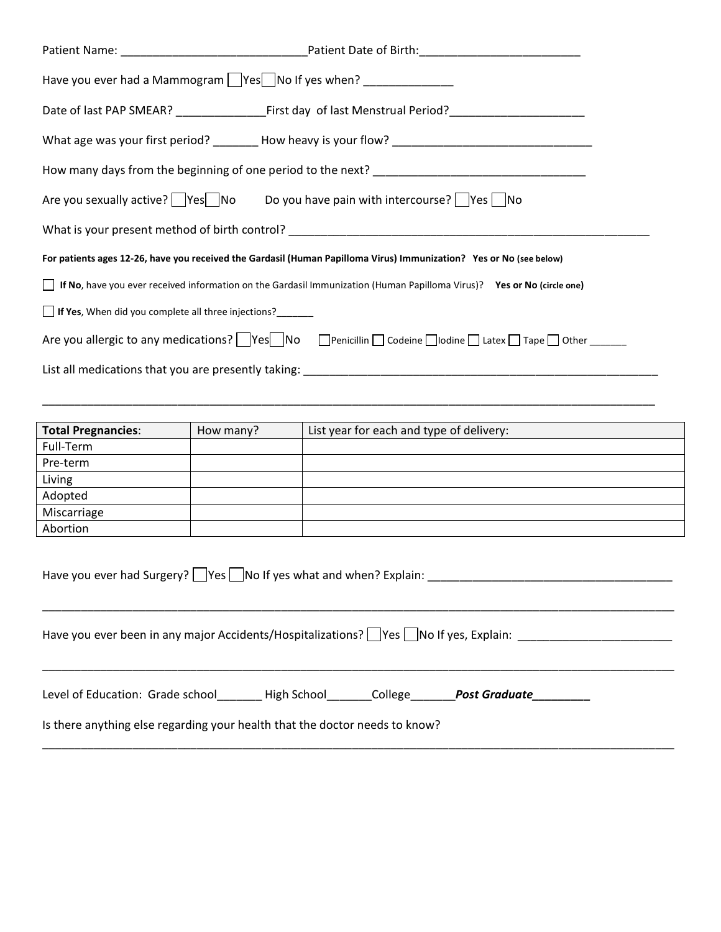| Have you ever had a Mammogram Ves No If yes when? ____________                                                                 |                                                                                                      |  |  |  |
|--------------------------------------------------------------------------------------------------------------------------------|------------------------------------------------------------------------------------------------------|--|--|--|
|                                                                                                                                |                                                                                                      |  |  |  |
|                                                                                                                                | What age was your first period? ________ How heavy is your flow? ___________________________________ |  |  |  |
|                                                                                                                                |                                                                                                      |  |  |  |
| Are you sexually active? $\Box$ Yes $\Box$ No Do you have pain with intercourse? $\Box$ Yes $\Box$ No                          |                                                                                                      |  |  |  |
|                                                                                                                                |                                                                                                      |  |  |  |
| For patients ages 12-26, have you received the Gardasil (Human Papilloma Virus) Immunization? Yes or No (see below)            |                                                                                                      |  |  |  |
| <b>If No</b> , have you ever received information on the Gardasil Immunization (Human Papilloma Virus)? Yes or No (circle one) |                                                                                                      |  |  |  |
| If Yes, When did you complete all three injections?_______                                                                     |                                                                                                      |  |  |  |
|                                                                                                                                | Are you allergic to any medications? Ves No DPenicillin Codeine Dodine DLatex Tape Dother ________   |  |  |  |
|                                                                                                                                |                                                                                                      |  |  |  |

| <b>Total Pregnancies:</b> | How many? | List year for each and type of delivery: |
|---------------------------|-----------|------------------------------------------|
| Full-Term                 |           |                                          |
| Pre-term                  |           |                                          |
| Living                    |           |                                          |
| Adopted                   |           |                                          |
| Miscarriage               |           |                                          |
| Abortion                  |           |                                          |

\_\_\_\_\_\_\_\_\_\_\_\_\_\_\_\_\_\_\_\_\_\_\_\_\_\_\_\_\_\_\_\_\_\_\_\_\_\_\_\_\_\_\_\_\_\_\_\_\_\_\_\_\_\_\_\_\_\_\_\_\_\_\_\_\_\_\_\_\_\_\_\_\_\_\_\_\_\_\_\_\_\_\_\_\_\_\_\_\_\_\_\_\_\_\_

| Have you ever had Surgery? $ $ $ Yes $ $ No$ If yes what and when? Explain:             |  |  |                                     |  |
|-----------------------------------------------------------------------------------------|--|--|-------------------------------------|--|
| Have you ever been in any major Accidents/Hospitalizations?   Yes   No If yes, Explain: |  |  |                                     |  |
| Level of Education: Grade school High School College                                    |  |  | Post Graduate <b>Artica Advisor</b> |  |
| Is there anything else regarding your health that the doctor needs to know?             |  |  |                                     |  |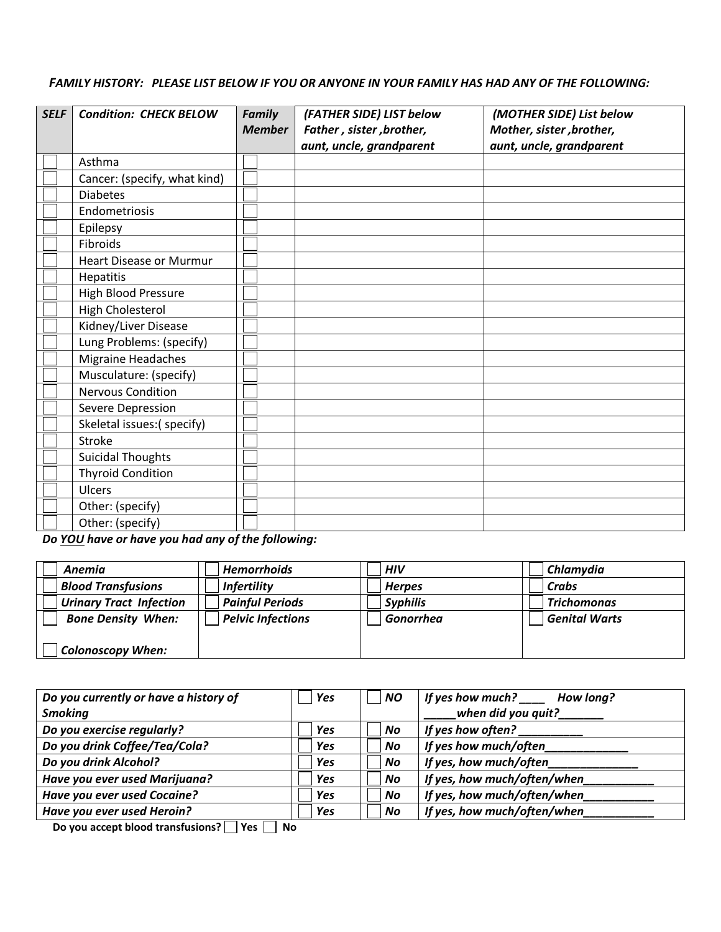*FAMILY HISTORY: PLEASE LIST BELOW IF YOU OR ANYONE IN YOUR FAMILY HAS HAD ANY OF THE FOLLOWING:*

| <b>SELF</b> |  | <b>Condition: CHECK BELOW</b>  |  | Family<br>(FATHER SIDE) LIST below<br><b>Member</b><br>Father, sister, brother, |                          | (MOTHER SIDE) List below<br>Mother, sister, brother, |  |
|-------------|--|--------------------------------|--|---------------------------------------------------------------------------------|--------------------------|------------------------------------------------------|--|
|             |  |                                |  |                                                                                 | aunt, uncle, grandparent | aunt, uncle, grandparent                             |  |
|             |  | Asthma                         |  |                                                                                 |                          |                                                      |  |
|             |  | Cancer: (specify, what kind)   |  |                                                                                 |                          |                                                      |  |
|             |  | <b>Diabetes</b>                |  |                                                                                 |                          |                                                      |  |
|             |  | Endometriosis                  |  |                                                                                 |                          |                                                      |  |
|             |  | Epilepsy                       |  |                                                                                 |                          |                                                      |  |
|             |  | Fibroids                       |  |                                                                                 |                          |                                                      |  |
|             |  | <b>Heart Disease or Murmur</b> |  |                                                                                 |                          |                                                      |  |
|             |  | Hepatitis                      |  |                                                                                 |                          |                                                      |  |
|             |  | High Blood Pressure            |  |                                                                                 |                          |                                                      |  |
|             |  | High Cholesterol               |  |                                                                                 |                          |                                                      |  |
|             |  | Kidney/Liver Disease           |  |                                                                                 |                          |                                                      |  |
|             |  | Lung Problems: (specify)       |  |                                                                                 |                          |                                                      |  |
|             |  | Migraine Headaches             |  |                                                                                 |                          |                                                      |  |
|             |  | Musculature: (specify)         |  |                                                                                 |                          |                                                      |  |
|             |  | <b>Nervous Condition</b>       |  |                                                                                 |                          |                                                      |  |
|             |  | Severe Depression              |  |                                                                                 |                          |                                                      |  |
|             |  | Skeletal issues:(specify)      |  |                                                                                 |                          |                                                      |  |
|             |  | Stroke                         |  |                                                                                 |                          |                                                      |  |
|             |  | <b>Suicidal Thoughts</b>       |  |                                                                                 |                          |                                                      |  |
|             |  | <b>Thyroid Condition</b>       |  |                                                                                 |                          |                                                      |  |
|             |  | Ulcers                         |  |                                                                                 |                          |                                                      |  |
|             |  | Other: (specify)               |  |                                                                                 |                          |                                                      |  |
|             |  | Other: (specify)               |  |                                                                                 |                          |                                                      |  |

*Do YOU have or have you had any of the following:*

| Anemia                         | <b>Hemorrhoids</b>       | <b>HIV</b>      | Chlamydia            |
|--------------------------------|--------------------------|-----------------|----------------------|
| Blood Transfusions             | <b>Infertility</b>       | <b>Herpes</b>   | Crabs                |
| <b>Urinary Tract Infection</b> | <b>Painful Periods</b>   | <b>Syphilis</b> | <b>Trichomonas</b>   |
| <b>Bone Density When:</b>      | <b>Pelvic Infections</b> | Gonorrhea       | <b>Genital Warts</b> |
|                                |                          |                 |                      |
| <b>Colonoscopy When:</b>       |                          |                 |                      |

| Yes        | <b>NO</b> | If yes how much?<br>How long? |
|------------|-----------|-------------------------------|
|            |           | when did you quit?            |
| Yes        | No.       | If yes how often?             |
| <b>Yes</b> | No        | If yes how much/often         |
| Yes        | No        | If yes, how much/often        |
| <b>Yes</b> | <b>No</b> | If yes, how much/often/when   |
| Yes        | No        | If yes, how much/often/when   |
| Yes        | <b>No</b> | If yes, how much/often/when   |
|            |           |                               |

**Do you accept blood transfusions?** Pes **P** No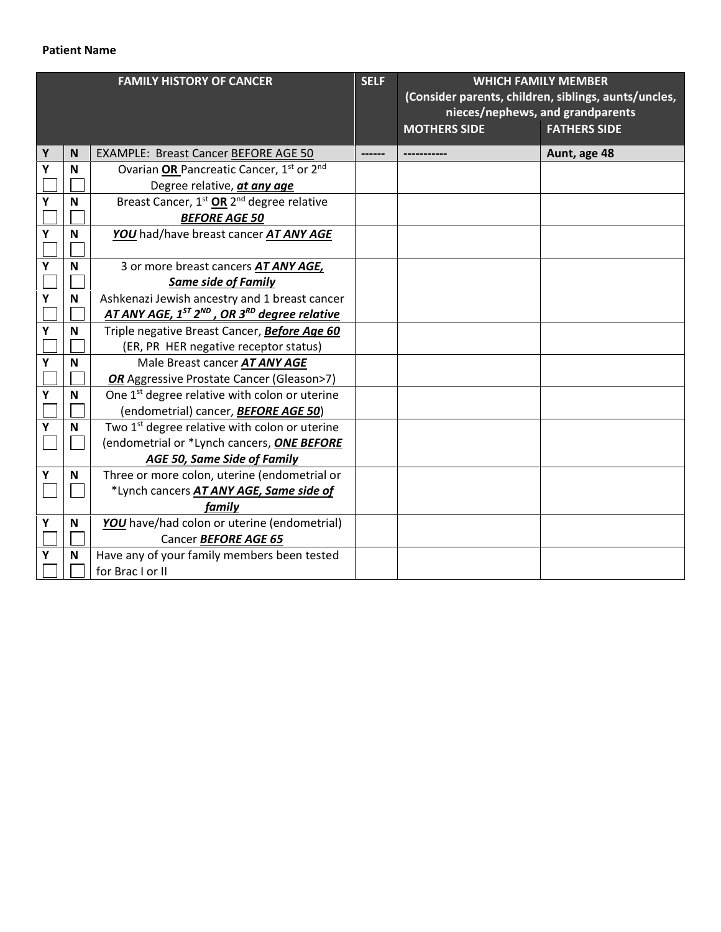## **Patient Name**

| <b>FAMILY HISTORY OF CANCER</b> |   | <b>SELF</b>                                                                      | <b>WHICH FAMILY MEMBER</b>                           |                     |                                  |
|---------------------------------|---|----------------------------------------------------------------------------------|------------------------------------------------------|---------------------|----------------------------------|
|                                 |   |                                                                                  | (Consider parents, children, siblings, aunts/uncles, |                     |                                  |
|                                 |   |                                                                                  |                                                      |                     | nieces/nephews, and grandparents |
|                                 |   |                                                                                  |                                                      | <b>MOTHERS SIDE</b> | <b>FATHERS SIDE</b>              |
| Υ                               | N | <b>EXAMPLE: Breast Cancer BEFORE AGE 50</b>                                      |                                                      |                     | Aunt, age 48                     |
| Υ                               | N | Ovarian OR Pancreatic Cancer, 1 <sup>st</sup> or 2 <sup>nd</sup>                 |                                                      |                     |                                  |
|                                 |   | Degree relative, at any age                                                      |                                                      |                     |                                  |
| Υ                               | N | Breast Cancer, 1 <sup>st</sup> OR 2 <sup>nd</sup> degree relative                |                                                      |                     |                                  |
|                                 |   | <b>BEFORE AGE 50</b>                                                             |                                                      |                     |                                  |
| Υ                               | N | YOU had/have breast cancer AT ANY AGE                                            |                                                      |                     |                                  |
|                                 |   |                                                                                  |                                                      |                     |                                  |
| Υ                               | N | 3 or more breast cancers AT ANY AGE,                                             |                                                      |                     |                                  |
|                                 |   | <b>Same side of Family</b>                                                       |                                                      |                     |                                  |
| Υ                               | N | Ashkenazi Jewish ancestry and 1 breast cancer                                    |                                                      |                     |                                  |
|                                 |   | AT ANY AGE, 1 <sup>ST</sup> 2 <sup>ND</sup> , OR 3 <sup>RD</sup> degree relative |                                                      |                     |                                  |
| Υ                               | N | Triple negative Breast Cancer, Before Age 60                                     |                                                      |                     |                                  |
|                                 |   | (ER, PR HER negative receptor status)                                            |                                                      |                     |                                  |
| Υ                               | N | Male Breast cancer AT ANY AGE                                                    |                                                      |                     |                                  |
|                                 |   | <b>OR</b> Aggressive Prostate Cancer (Gleason>7)                                 |                                                      |                     |                                  |
| Υ                               | N | One 1 <sup>st</sup> degree relative with colon or uterine                        |                                                      |                     |                                  |
|                                 |   | (endometrial) cancer, <b>BEFORE AGE 50</b> )                                     |                                                      |                     |                                  |
| Υ                               | N | Two 1 <sup>st</sup> degree relative with colon or uterine                        |                                                      |                     |                                  |
|                                 |   | (endometrial or *Lynch cancers, ONE BEFORE                                       |                                                      |                     |                                  |
|                                 |   | AGE 50, Same Side of Family                                                      |                                                      |                     |                                  |
| Υ                               | N | Three or more colon, uterine (endometrial or                                     |                                                      |                     |                                  |
|                                 |   | *Lynch cancers AT ANY AGE, Same side of                                          |                                                      |                     |                                  |
|                                 |   | family                                                                           |                                                      |                     |                                  |
| Υ                               | N | YOU have/had colon or uterine (endometrial)                                      |                                                      |                     |                                  |
|                                 |   | Cancer BEFORE AGE 65                                                             |                                                      |                     |                                  |
| Y                               | N | Have any of your family members been tested                                      |                                                      |                     |                                  |
|                                 |   | for Brac I or II                                                                 |                                                      |                     |                                  |